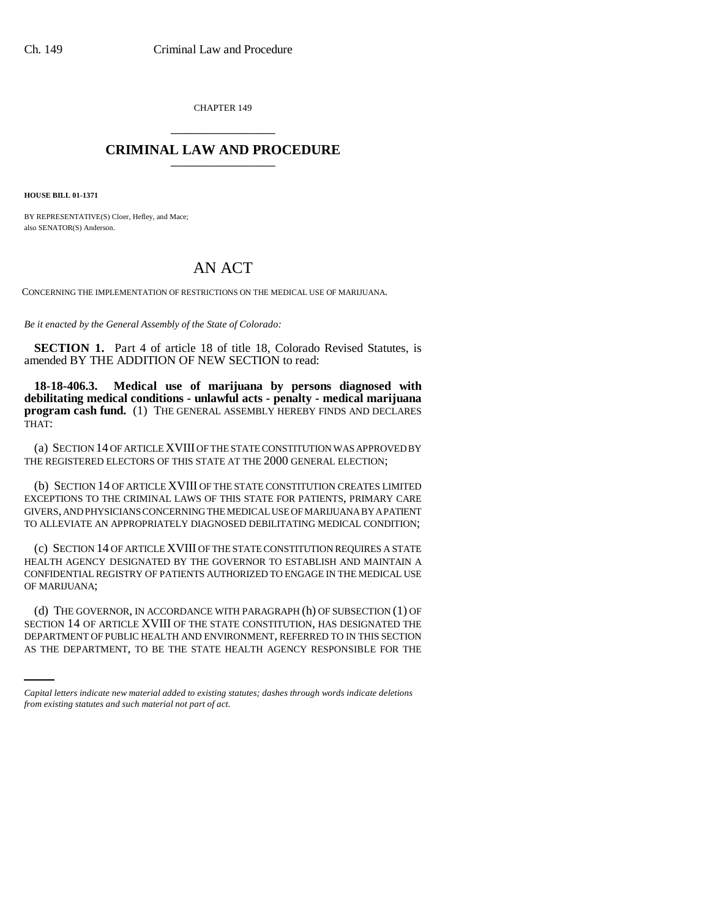CHAPTER 149 \_\_\_\_\_\_\_\_\_\_\_\_\_\_\_

## **CRIMINAL LAW AND PROCEDURE** \_\_\_\_\_\_\_\_\_\_\_\_\_\_\_

**HOUSE BILL 01-1371**

BY REPRESENTATIVE(S) Cloer, Hefley, and Mace; also SENATOR(S) Anderson.

## AN ACT

CONCERNING THE IMPLEMENTATION OF RESTRICTIONS ON THE MEDICAL USE OF MARIJUANA.

*Be it enacted by the General Assembly of the State of Colorado:*

**SECTION 1.** Part 4 of article 18 of title 18, Colorado Revised Statutes, is amended BY THE ADDITION OF NEW SECTION to read:

**18-18-406.3. Medical use of marijuana by persons diagnosed with debilitating medical conditions - unlawful acts - penalty - medical marijuana program cash fund.** (1) THE GENERAL ASSEMBLY HEREBY FINDS AND DECLARES THAT:

(a) SECTION 14 OF ARTICLE XVIII OF THE STATE CONSTITUTION WAS APPROVED BY THE REGISTERED ELECTORS OF THIS STATE AT THE 2000 GENERAL ELECTION;

(b) SECTION 14 OF ARTICLE XVIII OF THE STATE CONSTITUTION CREATES LIMITED EXCEPTIONS TO THE CRIMINAL LAWS OF THIS STATE FOR PATIENTS, PRIMARY CARE GIVERS, AND PHYSICIANS CONCERNING THE MEDICAL USE OF MARIJUANA BY A PATIENT TO ALLEVIATE AN APPROPRIATELY DIAGNOSED DEBILITATING MEDICAL CONDITION;

(c) SECTION 14 OF ARTICLE XVIII OF THE STATE CONSTITUTION REQUIRES A STATE HEALTH AGENCY DESIGNATED BY THE GOVERNOR TO ESTABLISH AND MAINTAIN A CONFIDENTIAL REGISTRY OF PATIENTS AUTHORIZED TO ENGAGE IN THE MEDICAL USE OF MARIJUANA;

SECTION 14 OF ARTICLE XVIII OF THE STATE CONSTITUTION, HAS DESIGNATED THE (d) THE GOVERNOR, IN ACCORDANCE WITH PARAGRAPH (h) OF SUBSECTION (1) OF DEPARTMENT OF PUBLIC HEALTH AND ENVIRONMENT, REFERRED TO IN THIS SECTION AS THE DEPARTMENT, TO BE THE STATE HEALTH AGENCY RESPONSIBLE FOR THE

*Capital letters indicate new material added to existing statutes; dashes through words indicate deletions from existing statutes and such material not part of act.*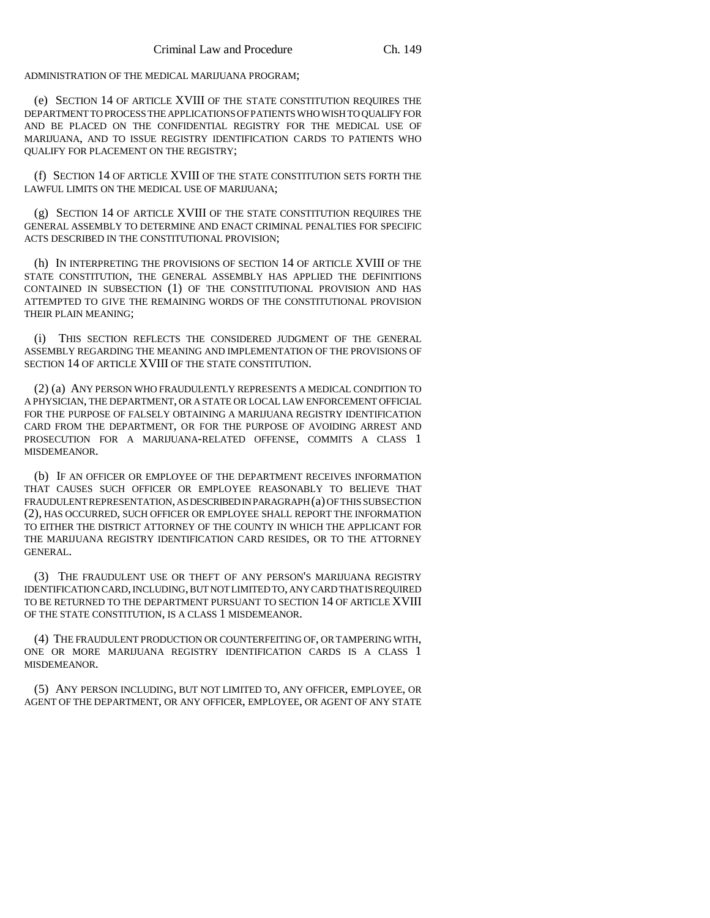ADMINISTRATION OF THE MEDICAL MARIJUANA PROGRAM;

(e) SECTION 14 OF ARTICLE XVIII OF THE STATE CONSTITUTION REQUIRES THE DEPARTMENT TO PROCESS THE APPLICATIONS OF PATIENTS WHO WISH TO QUALIFY FOR AND BE PLACED ON THE CONFIDENTIAL REGISTRY FOR THE MEDICAL USE OF MARIJUANA, AND TO ISSUE REGISTRY IDENTIFICATION CARDS TO PATIENTS WHO QUALIFY FOR PLACEMENT ON THE REGISTRY;

(f) SECTION 14 OF ARTICLE XVIII OF THE STATE CONSTITUTION SETS FORTH THE LAWFUL LIMITS ON THE MEDICAL USE OF MARIJUANA;

(g) SECTION 14 OF ARTICLE XVIII OF THE STATE CONSTITUTION REQUIRES THE GENERAL ASSEMBLY TO DETERMINE AND ENACT CRIMINAL PENALTIES FOR SPECIFIC ACTS DESCRIBED IN THE CONSTITUTIONAL PROVISION;

(h) IN INTERPRETING THE PROVISIONS OF SECTION 14 OF ARTICLE XVIII OF THE STATE CONSTITUTION, THE GENERAL ASSEMBLY HAS APPLIED THE DEFINITIONS CONTAINED IN SUBSECTION (1) OF THE CONSTITUTIONAL PROVISION AND HAS ATTEMPTED TO GIVE THE REMAINING WORDS OF THE CONSTITUTIONAL PROVISION THEIR PLAIN MEANING;

(i) THIS SECTION REFLECTS THE CONSIDERED JUDGMENT OF THE GENERAL ASSEMBLY REGARDING THE MEANING AND IMPLEMENTATION OF THE PROVISIONS OF SECTION 14 OF ARTICLE XVIII OF THE STATE CONSTITUTION.

(2) (a) ANY PERSON WHO FRAUDULENTLY REPRESENTS A MEDICAL CONDITION TO A PHYSICIAN, THE DEPARTMENT, OR A STATE OR LOCAL LAW ENFORCEMENT OFFICIAL FOR THE PURPOSE OF FALSELY OBTAINING A MARIJUANA REGISTRY IDENTIFICATION CARD FROM THE DEPARTMENT, OR FOR THE PURPOSE OF AVOIDING ARREST AND PROSECUTION FOR A MARIJUANA-RELATED OFFENSE, COMMITS A CLASS 1 MISDEMEANOR.

(b) IF AN OFFICER OR EMPLOYEE OF THE DEPARTMENT RECEIVES INFORMATION THAT CAUSES SUCH OFFICER OR EMPLOYEE REASONABLY TO BELIEVE THAT FRAUDULENT REPRESENTATION, AS DESCRIBED IN PARAGRAPH (a) OF THIS SUBSECTION (2), HAS OCCURRED, SUCH OFFICER OR EMPLOYEE SHALL REPORT THE INFORMATION TO EITHER THE DISTRICT ATTORNEY OF THE COUNTY IN WHICH THE APPLICANT FOR THE MARIJUANA REGISTRY IDENTIFICATION CARD RESIDES, OR TO THE ATTORNEY GENERAL.

(3) THE FRAUDULENT USE OR THEFT OF ANY PERSON'S MARIJUANA REGISTRY IDENTIFICATION CARD, INCLUDING, BUT NOT LIMITED TO, ANY CARD THAT IS REQUIRED TO BE RETURNED TO THE DEPARTMENT PURSUANT TO SECTION 14 OF ARTICLE XVIII OF THE STATE CONSTITUTION, IS A CLASS 1 MISDEMEANOR.

(4) THE FRAUDULENT PRODUCTION OR COUNTERFEITING OF, OR TAMPERING WITH, ONE OR MORE MARIJUANA REGISTRY IDENTIFICATION CARDS IS A CLASS 1 MISDEMEANOR.

(5) ANY PERSON INCLUDING, BUT NOT LIMITED TO, ANY OFFICER, EMPLOYEE, OR AGENT OF THE DEPARTMENT, OR ANY OFFICER, EMPLOYEE, OR AGENT OF ANY STATE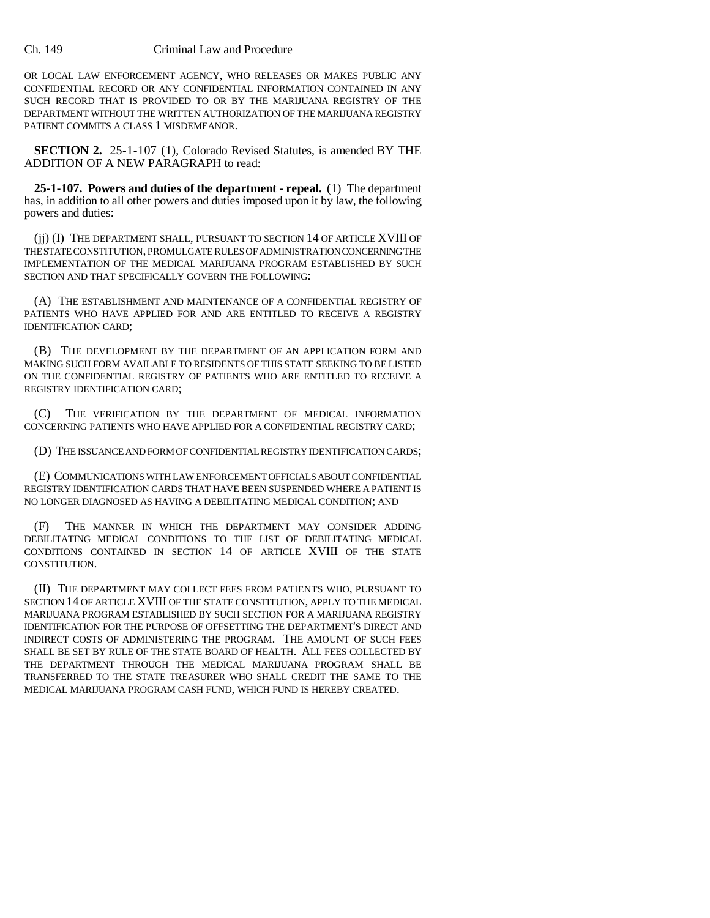## Ch. 149 Criminal Law and Procedure

OR LOCAL LAW ENFORCEMENT AGENCY, WHO RELEASES OR MAKES PUBLIC ANY CONFIDENTIAL RECORD OR ANY CONFIDENTIAL INFORMATION CONTAINED IN ANY SUCH RECORD THAT IS PROVIDED TO OR BY THE MARIJUANA REGISTRY OF THE DEPARTMENT WITHOUT THE WRITTEN AUTHORIZATION OF THE MARIJUANA REGISTRY PATIENT COMMITS A CLASS 1 MISDEMEANOR.

**SECTION 2.** 25-1-107 (1), Colorado Revised Statutes, is amended BY THE ADDITION OF A NEW PARAGRAPH to read:

**25-1-107. Powers and duties of the department - repeal.** (1) The department has, in addition to all other powers and duties imposed upon it by law, the following powers and duties:

(jj) (I) THE DEPARTMENT SHALL, PURSUANT TO SECTION 14 OF ARTICLE XVIII OF THE STATE CONSTITUTION, PROMULGATE RULES OF ADMINISTRATION CONCERNING THE IMPLEMENTATION OF THE MEDICAL MARIJUANA PROGRAM ESTABLISHED BY SUCH SECTION AND THAT SPECIFICALLY GOVERN THE FOLLOWING:

(A) THE ESTABLISHMENT AND MAINTENANCE OF A CONFIDENTIAL REGISTRY OF PATIENTS WHO HAVE APPLIED FOR AND ARE ENTITLED TO RECEIVE A REGISTRY IDENTIFICATION CARD;

(B) THE DEVELOPMENT BY THE DEPARTMENT OF AN APPLICATION FORM AND MAKING SUCH FORM AVAILABLE TO RESIDENTS OF THIS STATE SEEKING TO BE LISTED ON THE CONFIDENTIAL REGISTRY OF PATIENTS WHO ARE ENTITLED TO RECEIVE A REGISTRY IDENTIFICATION CARD;

(C) THE VERIFICATION BY THE DEPARTMENT OF MEDICAL INFORMATION CONCERNING PATIENTS WHO HAVE APPLIED FOR A CONFIDENTIAL REGISTRY CARD;

(D) THE ISSUANCE AND FORM OF CONFIDENTIAL REGISTRY IDENTIFICATION CARDS;

(E) COMMUNICATIONS WITH LAW ENFORCEMENT OFFICIALS ABOUT CONFIDENTIAL REGISTRY IDENTIFICATION CARDS THAT HAVE BEEN SUSPENDED WHERE A PATIENT IS NO LONGER DIAGNOSED AS HAVING A DEBILITATING MEDICAL CONDITION; AND

(F) THE MANNER IN WHICH THE DEPARTMENT MAY CONSIDER ADDING DEBILITATING MEDICAL CONDITIONS TO THE LIST OF DEBILITATING MEDICAL CONDITIONS CONTAINED IN SECTION 14 OF ARTICLE XVIII OF THE STATE CONSTITUTION.

(II) THE DEPARTMENT MAY COLLECT FEES FROM PATIENTS WHO, PURSUANT TO SECTION 14 OF ARTICLE XVIII OF THE STATE CONSTITUTION, APPLY TO THE MEDICAL MARIJUANA PROGRAM ESTABLISHED BY SUCH SECTION FOR A MARIJUANA REGISTRY IDENTIFICATION FOR THE PURPOSE OF OFFSETTING THE DEPARTMENT'S DIRECT AND INDIRECT COSTS OF ADMINISTERING THE PROGRAM. THE AMOUNT OF SUCH FEES SHALL BE SET BY RULE OF THE STATE BOARD OF HEALTH. ALL FEES COLLECTED BY THE DEPARTMENT THROUGH THE MEDICAL MARIJUANA PROGRAM SHALL BE TRANSFERRED TO THE STATE TREASURER WHO SHALL CREDIT THE SAME TO THE MEDICAL MARIJUANA PROGRAM CASH FUND, WHICH FUND IS HEREBY CREATED.